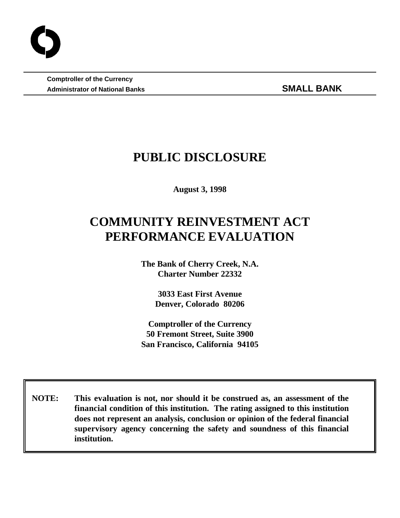**Comptroller of the Currency** Administrator of National Banks **SMALL BANK** 

## **PUBLIC DISCLOSURE**

**August 3, 1998**

# **COMMUNITY REINVESTMENT ACT PERFORMANCE EVALUATION**

**The Bank of Cherry Creek, N.A. Charter Number 22332**

> **3033 East First Avenue Denver, Colorado 80206**

**Comptroller of the Currency 50 Fremont Street, Suite 3900 San Francisco, California 94105**

 **NOTE: This evaluation is not, nor should it be construed as, an assessment of the financial condition of this institution. The rating assigned to this institution does not represent an analysis, conclusion or opinion of the federal financial supervisory agency concerning the safety and soundness of this financial institution.**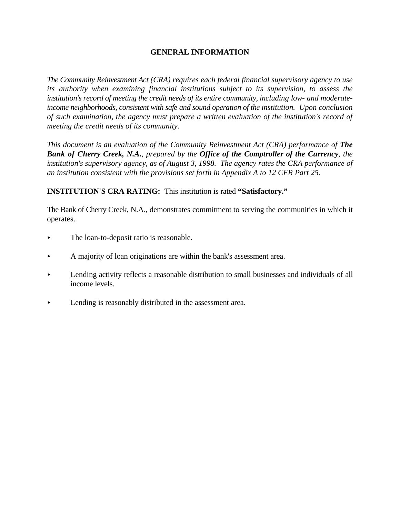## **GENERAL INFORMATION**

*The Community Reinvestment Act (CRA) requires each federal financial supervisory agency to use its authority when examining financial institutions subject to its supervision, to assess the institution's record of meeting the credit needs of its entire community, including low- and moderateincome neighborhoods, consistent with safe and sound operation of the institution. Upon conclusion of such examination, the agency must prepare a written evaluation of the institution's record of meeting the credit needs of its community.* 

*This document is an evaluation of the Community Reinvestment Act (CRA) performance of The Bank of Cherry Creek, N.A., prepared by the Office of the Comptroller of the Currency, the institution's supervisory agency, as of August 3, 1998. The agency rates the CRA performance of an institution consistent with the provisions set forth in Appendix A to 12 CFR Part 25.*

**INSTITUTION'S CRA RATING:** This institution is rated **"Satisfactory."**

The Bank of Cherry Creek, N.A., demonstrates commitment to serving the communities in which it operates.

- The loan-to-deposit ratio is reasonable.
- $\blacktriangleright$  A majority of loan originations are within the bank's assessment area.
- < Lending activity reflects a reasonable distribution to small businesses and individuals of all income levels.
- < Lending is reasonably distributed in the assessment area.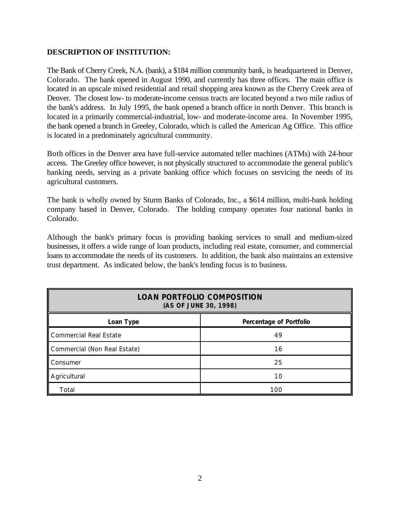## **DESCRIPTION OF INSTITUTION:**

The Bank of Cherry Creek, N.A. (bank), a \$184 million community bank, is headquartered in Denver, Colorado. The bank opened in August 1990, and currently has three offices. The main office is located in an upscale mixed residential and retail shopping area known as the Cherry Creek area of Denver. The closest low- to moderate-income census tracts are located beyond a two mile radius of the bank's address. In July 1995, the bank opened a branch office in north Denver. This branch is located in a primarily commercial-industrial, low- and moderate-income area. In November 1995, the bank opened a branch in Greeley, Colorado, which is called the American Ag Office. This office is located in a predominately agricultural community.

Both offices in the Denver area have full-service automated teller machines (ATMs) with 24-hour access. The Greeley office however, is not physically structured to accommodate the general public's banking needs, serving as a private banking office which focuses on servicing the needs of its agricultural customers.

The bank is wholly owned by Sturm Banks of Colorado, Inc., a \$614 million, multi-bank holding company based in Denver, Colorado. The holding company operates four national banks in Colorado.

Although the bank's primary focus is providing banking services to small and medium-sized businesses, it offers a wide range of loan products, including real estate, consumer, and commercial loans to accommodate the needs of its customers. In addition, the bank also maintains an extensive trust department. As indicated below, the bank's lending focus is to business.

| <b>LOAN PORTFOLIO COMPOSITION</b><br>(AS OF JUNE 30, 1998) |                         |  |  |
|------------------------------------------------------------|-------------------------|--|--|
| Loan Type                                                  | Percentage of Portfolio |  |  |
| Commercial Real Estate                                     | 49                      |  |  |
| Commercial (Non Real Estate)                               | 16                      |  |  |
| <b>Consumer</b>                                            | 25                      |  |  |
| Agricultural                                               | 10                      |  |  |
| Total                                                      | 100                     |  |  |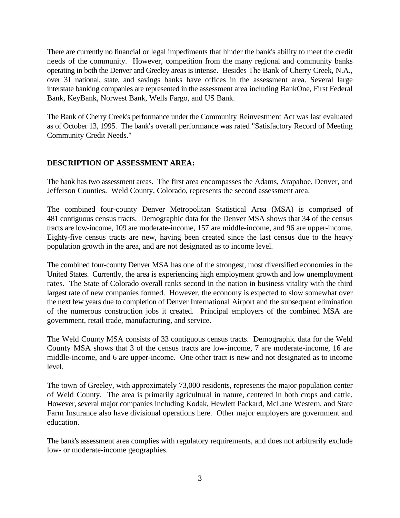There are currently no financial or legal impediments that hinder the bank's ability to meet the credit needs of the community. However, competition from the many regional and community banks operating in both the Denver and Greeley areas is intense. Besides The Bank of Cherry Creek, N.A., over 31 national, state, and savings banks have offices in the assessment area. Several large interstate banking companies are represented in the assessment area including BankOne, First Federal Bank, KeyBank, Norwest Bank, Wells Fargo, and US Bank.

The Bank of Cherry Creek's performance under the Community Reinvestment Act was last evaluated as of October 13, 1995. The bank's overall performance was rated "Satisfactory Record of Meeting Community Credit Needs."

## **DESCRIPTION OF ASSESSMENT AREA:**

The bank has two assessment areas. The first area encompasses the Adams, Arapahoe, Denver, and Jefferson Counties. Weld County, Colorado, represents the second assessment area.

The combined four-county Denver Metropolitan Statistical Area (MSA) is comprised of 481 contiguous census tracts. Demographic data for the Denver MSA shows that 34 of the census tracts are low-income, 109 are moderate-income, 157 are middle-income, and 96 are upper-income. Eighty-five census tracts are new, having been created since the last census due to the heavy population growth in the area, and are not designated as to income level.

The combined four-county Denver MSA has one of the strongest, most diversified economies in the United States. Currently, the area is experiencing high employment growth and low unemployment rates. The State of Colorado overall ranks second in the nation in business vitality with the third largest rate of new companies formed. However, the economy is expected to slow somewhat over the next few years due to completion of Denver International Airport and the subsequent elimination of the numerous construction jobs it created. Principal employers of the combined MSA are government, retail trade, manufacturing, and service.

The Weld County MSA consists of 33 contiguous census tracts. Demographic data for the Weld County MSA shows that 3 of the census tracts are low-income, 7 are moderate-income, 16 are middle-income, and 6 are upper-income. One other tract is new and not designated as to income level.

The town of Greeley, with approximately 73,000 residents, represents the major population center of Weld County. The area is primarily agricultural in nature, centered in both crops and cattle. However, several major companies including Kodak, Hewlett Packard, McLane Western, and State Farm Insurance also have divisional operations here. Other major employers are government and education.

The bank's assessment area complies with regulatory requirements, and does not arbitrarily exclude low- or moderate-income geographies.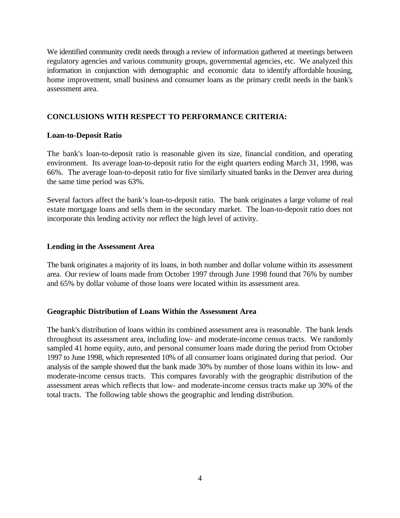We identified community credit needs through a review of information gathered at meetings between regulatory agencies and various community groups, governmental agencies, etc. We analyzed this information in conjunction with demographic and economic data to identify affordable housing, home improvement, small business and consumer loans as the primary credit needs in the bank's assessment area.

## **CONCLUSIONS WITH RESPECT TO PERFORMANCE CRITERIA:**

#### **Loan-to-Deposit Ratio**

The bank's loan-to-deposit ratio is reasonable given its size, financial condition, and operating environment. Its average loan-to-deposit ratio for the eight quarters ending March 31, 1998, was 66%. The average loan-to-deposit ratio for five similarly situated banks in the Denver area during the same time period was 63%.

Several factors affect the bank's loan-to-deposit ratio. The bank originates a large volume of real estate mortgage loans and sells them in the secondary market. The loan-to-deposit ratio does not incorporate this lending activity nor reflect the high level of activity.

#### **Lending in the Assessment Area**

The bank originates a majority of its loans, in both number and dollar volume within its assessment area. Our review of loans made from October 1997 through June 1998 found that 76% by number and 65% by dollar volume of those loans were located within its assessment area.

#### **Geographic Distribution of Loans Within the Assessment Area**

The bank's distribution of loans within its combined assessment area is reasonable. The bank lends throughout its assessment area, including low- and moderate-income census tracts. We randomly sampled 41 home equity, auto, and personal consumer loans made during the period from October 1997 to June 1998, which represented 10% of all consumer loans originated during that period. Our analysis of the sample showed that the bank made 30% by number of those loans within its low- and moderate-income census tracts. This compares favorably with the geographic distribution of the assessment areas which reflects that low- and moderate-income census tracts make up 30% of the total tracts. The following table shows the geographic and lending distribution.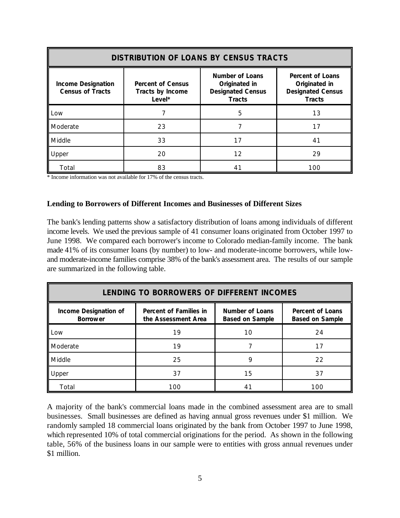| <b>DISTRIBUTION OF LOANS BY CENSUS TRACTS</b>        |                                                        |                                                                               |                                                                                |  |  |
|------------------------------------------------------|--------------------------------------------------------|-------------------------------------------------------------------------------|--------------------------------------------------------------------------------|--|--|
| <b>Income Designation</b><br><b>Census of Tracts</b> | <b>Percent of Census</b><br>Tracts by Income<br>Level* | Number of Loans<br>Originated in<br><b>Designated Census</b><br><b>Tracts</b> | Percent of Loans<br>Originated in<br><b>Designated Census</b><br><b>Tracts</b> |  |  |
| Low                                                  |                                                        | 5                                                                             | 13                                                                             |  |  |
| Moderate                                             | 23                                                     |                                                                               | 17                                                                             |  |  |
| Middle                                               | 33                                                     | 17                                                                            | 41                                                                             |  |  |
| Upper                                                | 20                                                     | 12                                                                            | 29                                                                             |  |  |
| Total                                                | 83                                                     | 41                                                                            | 100                                                                            |  |  |

\* Income information was not available for 17% of the census tracts.

#### **Lending to Borrowers of Different Incomes and Businesses of Different Sizes**

The bank's lending patterns show a satisfactory distribution of loans among individuals of different income levels. We used the previous sample of 41 consumer loans originated from October 1997 to June 1998. We compared each borrower's income to Colorado median-family income. The bank made 41% of its consumer loans (by number) to low- and moderate-income borrowers, while lowand moderate-income families comprise 38% of the bank's assessment area. The results of our sample are summarized in the following table.

| LENDING TO BORROWERS OF DIFFERENT INCOMES |                                               |                                           |                                                   |  |  |
|-------------------------------------------|-----------------------------------------------|-------------------------------------------|---------------------------------------------------|--|--|
| Income Designation of<br><b>Borrower</b>  | Percent of Families in<br>the Assessment Area | Number of Loans<br><b>Based on Sample</b> | <b>Percent of Loans</b><br><b>Based on Sample</b> |  |  |
| Low                                       | 19                                            | 10                                        | 24                                                |  |  |
| Moderate                                  | 19                                            |                                           | 17                                                |  |  |
| Middle                                    | 25                                            | Q                                         | 22                                                |  |  |
| Upper                                     | 37                                            | 15                                        | 37                                                |  |  |
| Total                                     | 100                                           |                                           | 100                                               |  |  |

A majority of the bank's commercial loans made in the combined assessment area are to small businesses. Small businesses are defined as having annual gross revenues under \$1 million. We randomly sampled 18 commercial loans originated by the bank from October 1997 to June 1998, which represented 10% of total commercial originations for the period. As shown in the following table, 56% of the business loans in our sample were to entities with gross annual revenues under \$1 million.